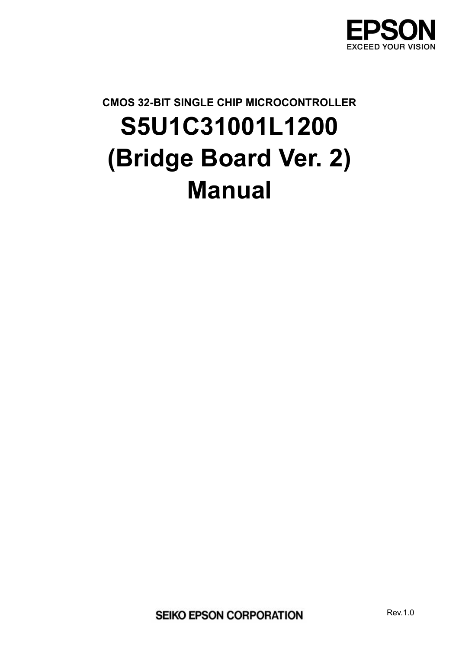

# **CMOS 32-BIT SINGLE CHIP MICROCONTROLLER S5U1C31001L1200 (Bridge Board Ver. 2) Manual**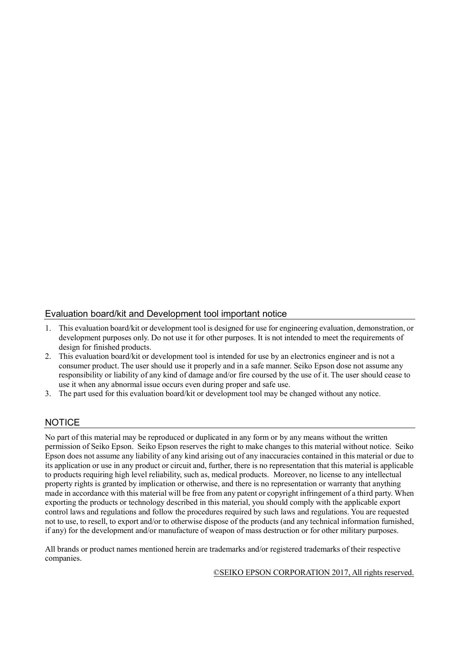## Evaluation board/kit and Development tool important notice

- 1. This evaluation board/kit or development tool is designed for use for engineering evaluation, demonstration, or development purposes only. Do not use it for other purposes. It is not intended to meet the requirements of design for finished products.
- 2. This evaluation board/kit or development tool is intended for use by an electronics engineer and is not a consumer product. The user should use it properly and in a safe manner. Seiko Epson dose not assume any responsibility or liability of any kind of damage and/or fire coursed by the use of it. The user should cease to use it when any abnormal issue occurs even during proper and safe use.
- 3. The part used for this evaluation board/kit or development tool may be changed without any notice.

## **NOTICE**

No part of this material may be reproduced or duplicated in any form or by any means without the written permission of Seiko Epson. Seiko Epson reserves the right to make changes to this material without notice. Seiko Epson does not assume any liability of any kind arising out of any inaccuracies contained in this material or due to its application or use in any product or circuit and, further, there is no representation that this material is applicable to products requiring high level reliability, such as, medical products. Moreover, no license to any intellectual property rights is granted by implication or otherwise, and there is no representation or warranty that anything made in accordance with this material will be free from any patent or copyright infringement of a third party. When exporting the products or technology described in this material, you should comply with the applicable export control laws and regulations and follow the procedures required by such laws and regulations. You are requested not to use, to resell, to export and/or to otherwise dispose of the products (and any technical information furnished, if any) for the development and/or manufacture of weapon of mass destruction or for other military purposes.

All brands or product names mentioned herein are trademarks and/or registered trademarks of their respective companies.

©SEIKO EPSON CORPORATION 2017, All rights reserved.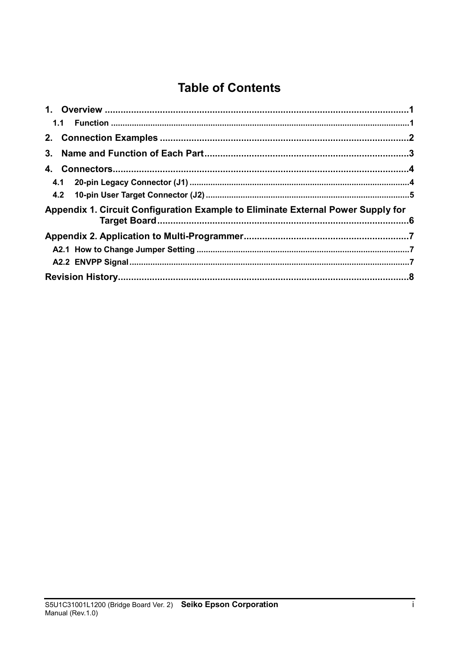# **Table of Contents**

| Appendix 1. Circuit Configuration Example to Eliminate External Power Supply for |  |
|----------------------------------------------------------------------------------|--|
|                                                                                  |  |
|                                                                                  |  |
|                                                                                  |  |
|                                                                                  |  |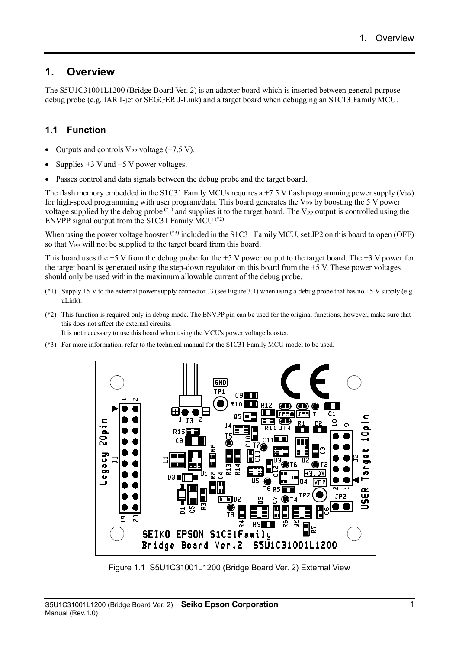## **1. Overview**

The S5U1C31001L1200 (Bridge Board Ver. 2) is an adapter board which is inserted between general-purpose debug probe (e.g. IAR I-jet or SEGGER J-Link) and a target board when debugging an S1C13 Family MCU.

## **1.1 Function**

- Outputs and controls  $V_{PP}$  voltage (+7.5 V).
- Supplies  $+3$  V and  $+5$  V power voltages.
- Passes control and data signals between the debug probe and the target board.

The flash memory embedded in the S1C31 Family MCUs requires a +7.5 V flash programming power supply ( $V_{PP}$ ) for high-speed programming with user program/data. This board generates the  $V_{PP}$  by boosting the 5 V power voltage supplied by the debug probe  $(1)$  and supplies it to the target board. The V<sub>PP</sub> output is controlled using the ENVPP signal output from the S1C31 Family MCU  $(2)$ .

When using the power voltage booster  $(*)$  included in the S1C31 Family MCU, set JP2 on this board to open (OFF) so that V<sub>PP</sub> will not be supplied to the target board from this board.

This board uses the  $+5$  V from the debug probe for the  $+5$  V power output to the target board. The  $+3$  V power for the target board is generated using the step-down regulator on this board from the +5 V. These power voltages should only be used within the maximum allowable current of the debug probe.

- (\*1) Supply +5 V to the external power supply connector J3 (see Figure 3.1) when using a debug probe that has no +5 V supply (e.g. uLink).
- (\*2) This function is required only in debug mode. The ENVPP pin can be used for the original functions, however, make sure that this does not affect the external circuits.

It is not necessary to use this board when using the MCU's power voltage booster.

(\*3) For more information, refer to the technical manual for the S1C31 Family MCU model to be used.



Figure 1.1 S5U1C31001L1200 (Bridge Board Ver. 2) External View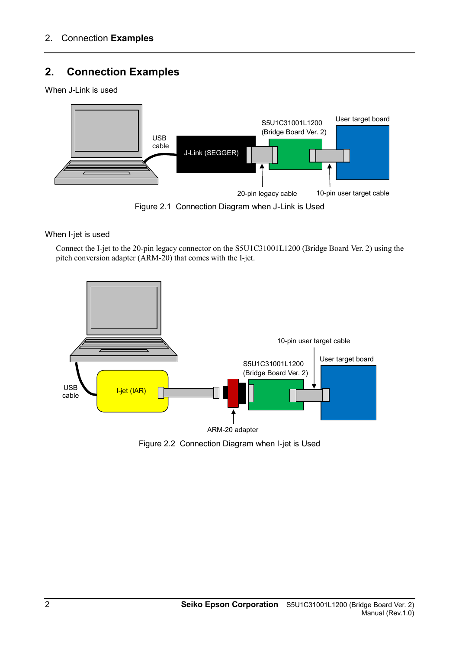# **2. Connection Examples**

When J-Link is used



Figure 2.1 Connection Diagram when J-Link is Used

When I-jet is used

Connect the I-jet to the 20-pin legacy connector on the S5U1C31001L1200 (Bridge Board Ver. 2) using the pitch conversion adapter (ARM-20) that comes with the I-jet.



Figure 2.2 Connection Diagram when I-jet is Used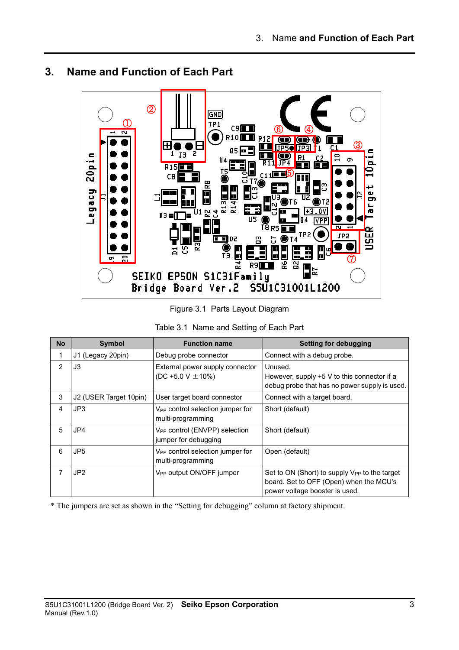#### ② **GND**  $\mathbb O$ TP<sub>1</sub> C9巨目 ⑥ ④ $\bullet$ R10**11 R12**  $\blacksquare$  $^\circledR$ H ŀ  $\Box$ **IF50** JP3 Ŀ.  $\overline{c_1}$ 05  $1$   $13$   $5$ Legacy 20pin R1  $\sigma$ R  $R15$ ⑤ CЯ −<br>⊕ Ĕ П R13<br>R14 능 u 1 62 금  $D3 = \Box$ **VPP** П  $\overline{18}$  RS  $\overline{1}$ កា TP<sub>2</sub> 95<br>G JP2  $\blacksquare$  $F$   $D2$ m T R3 š ¥ H  $^\circledR$  $\frac{4}{\epsilon}$ Ρć R9 Ğ E ıп ځ SEIKO EPSON S1C31Family Bridge Board Ver.2 S5U1C31001L1200

## **3. Name and Function of Each Part**

Figure 3.1 Parts Layout Diagram

| Table 3.1 Name and Setting of Each Part |  |  |
|-----------------------------------------|--|--|
|                                         |  |  |

| <b>No</b> | <b>Symbol</b>          | <b>Function name</b>                                              | <b>Setting for debugging</b>                                                                                                           |
|-----------|------------------------|-------------------------------------------------------------------|----------------------------------------------------------------------------------------------------------------------------------------|
| 1         | J1 (Legacy 20pin)      | Debug probe connector                                             | Connect with a debug probe.                                                                                                            |
| 2         | J3                     | External power supply connector<br>$(DC + 5.0 V ± 10%)$           | Unused.<br>However, supply $+5$ V to this connector if a<br>debug probe that has no power supply is used.                              |
| 3         | J2 (USER Target 10pin) | User target board connector                                       | Connect with a target board.                                                                                                           |
| 4         | JP3                    | V <sub>PP</sub> control selection jumper for<br>multi-programming | Short (default)                                                                                                                        |
| 5         | JP4                    | V <sub>PP</sub> control (ENVPP) selection<br>jumper for debugging | Short (default)                                                                                                                        |
| 6         | JP <sub>5</sub>        | V <sub>PP</sub> control selection jumper for<br>multi-programming | Open (default)                                                                                                                         |
| 7         | JP <sub>2</sub>        | V <sub>PP</sub> output ON/OFF jumper                              | Set to ON (Short) to supply V <sub>PP</sub> to the target<br>board. Set to OFF (Open) when the MCU's<br>power voltage booster is used. |

\* The jumpers are set as shown in the "Setting for debugging" column at factory shipment.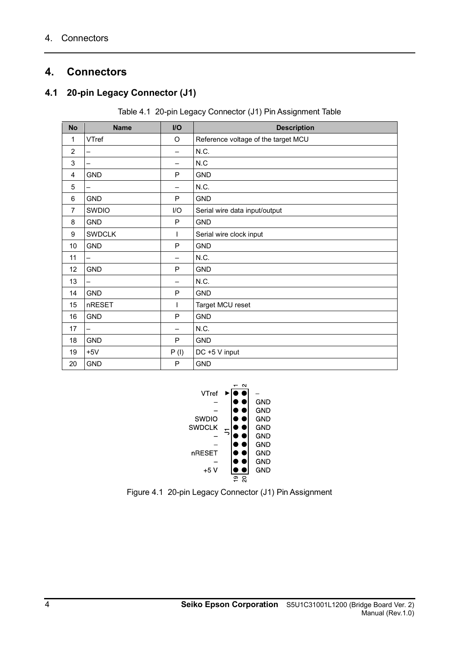## **4. Connectors**

## **4.1 20-pin Legacy Connector (J1)**

Table 4.1 20-pin Legacy Connector (J1) Pin Assignment Table

| <b>No</b>      | <b>Name</b>              | I/O                      | <b>Description</b>                  |
|----------------|--------------------------|--------------------------|-------------------------------------|
| 1              | VTref                    | $\mathsf O$              | Reference voltage of the target MCU |
| $\overline{2}$ | —                        |                          | N.C.                                |
| 3              | —                        |                          | N.C                                 |
| 4              | <b>GND</b>               | P                        | <b>GND</b>                          |
| 5              |                          |                          | N.C.                                |
| 6              | <b>GND</b>               | P                        | <b>GND</b>                          |
| $\overline{7}$ | <b>SWDIO</b>             | I/O                      | Serial wire data input/output       |
| 8              | <b>GND</b>               | $\mathsf{P}$             | <b>GND</b>                          |
| 9              | <b>SWDCLK</b>            | T                        | Serial wire clock input             |
| 10             | <b>GND</b>               | P                        | <b>GND</b>                          |
| 11             | $\overline{\phantom{0}}$ | $\overline{\phantom{0}}$ | N.C.                                |
| 12             | <b>GND</b>               | P                        | <b>GND</b>                          |
| 13             | $\overline{\phantom{0}}$ | $\overline{\phantom{0}}$ | N.C.                                |
| 14             | <b>GND</b>               | P                        | <b>GND</b>                          |
| 15             | nRESET                   |                          | Target MCU reset                    |
| 16             | <b>GND</b>               | P                        | <b>GND</b>                          |
| 17             | -                        | $\overline{\phantom{0}}$ | N.C.                                |
| 18             | <b>GND</b>               | P                        | <b>GND</b>                          |
| 19             | $+5V$                    | P(I)                     | DC +5 V input                       |
| 20             | <b>GND</b>               | P                        | <b>GND</b>                          |



Figure 4.1 20-pin Legacy Connector (J1) Pin Assignment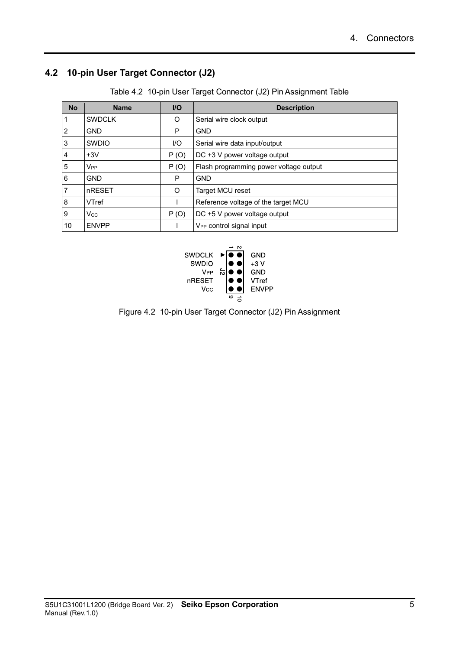## **4.2 10-pin User Target Connector (J2)**

|  | Table 4.2 10-pin User Target Connector (J2) Pin Assignment Table |  |  |
|--|------------------------------------------------------------------|--|--|
|  |                                                                  |  |  |

| <b>No</b> | <b>Name</b>           | $U$  | <b>Description</b>                     |
|-----------|-----------------------|------|----------------------------------------|
|           | <b>SWDCLK</b>         | O    | Serial wire clock output               |
| 2         | <b>GND</b>            | P    | <b>GND</b>                             |
| 3         | <b>SWDIO</b>          | I/O  | Serial wire data input/output          |
| 4         | $+3V$                 | P(0) | DC +3 V power voltage output           |
| 5         | V <sub>PP</sub>       | P(0) | Flash programming power voltage output |
| 6         | <b>GND</b>            | P    | <b>GND</b>                             |
| 7         | nRESET                | O    | Target MCU reset                       |
| 8         | VTref                 |      | Reference voltage of the target MCU    |
| 9         | <b>V<sub>cc</sub></b> | P(0) | DC +5 V power voltage output           |
| 10        | <b>ENVPP</b>          |      | V <sub>PP</sub> control signal input   |



Figure 4.2 10-pin User Target Connector (J2) Pin Assignment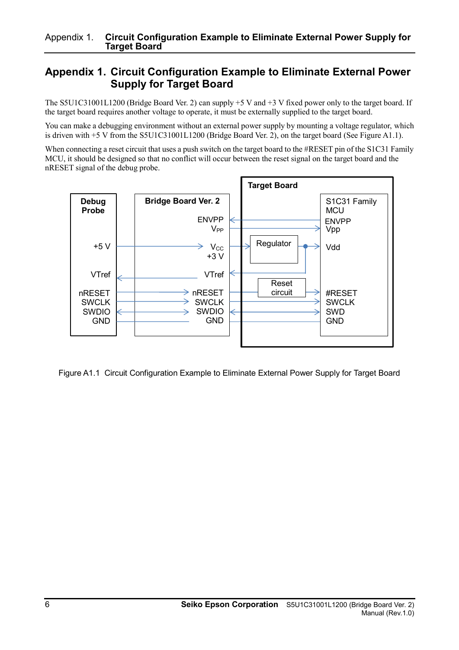## **Appendix 1. Circuit Configuration Example to Eliminate External Power Supply for Target Board**

The S5U1C31001L1200 (Bridge Board Ver. 2) can supply +5 V and +3 V fixed power only to the target board. If the target board requires another voltage to operate, it must be externally supplied to the target board.

You can make a debugging environment without an external power supply by mounting a voltage regulator, which is driven with +5 V from the S5U1C31001L1200 (Bridge Board Ver. 2), on the target board (See Figure A1.1).

When connecting a reset circuit that uses a push switch on the target board to the #RESET pin of the S1C31 Family MCU, it should be designed so that no conflict will occur between the reset signal on the target board and the nRESET signal of the debug probe.



Figure A1.1 Circuit Configuration Example to Eliminate External Power Supply for Target Board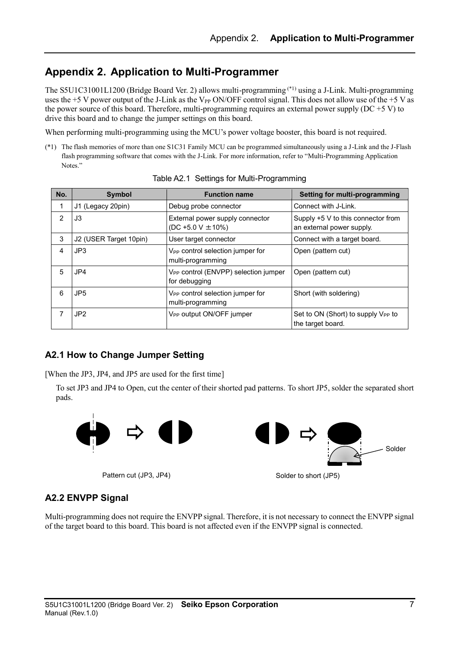## **Appendix 2. Application to Multi-Programmer**

The S5U1C31001L1200 (Bridge Board Ver. 2) allows multi-programming (\*1) using a J-Link. Multi-programming uses the +5 V power output of the J-Link as the V<sub>PP</sub> ON/OFF control signal. This does not allow use of the +5 V as the power source of this board. Therefore, multi-programming requires an external power supply (DC +5 V) to drive this board and to change the jumper settings on this board.

When performing multi-programming using the MCU's power voltage booster, this board is not required.

(\*1) The flash memories of more than one S1C31 Family MCU can be programmed simultaneously using a J-Link and the J-Flash flash programming software that comes with the J-Link. For more information, refer to "Multi-Programming Application Notes."

| No. | Symbol                 | <b>Function name</b>                                              | <b>Setting for multi-programming</b>                                |
|-----|------------------------|-------------------------------------------------------------------|---------------------------------------------------------------------|
| 1   | J1 (Legacy 20pin)      | Debug probe connector                                             | Connect with J-Link.                                                |
| 2   | J3                     | External power supply connector<br>$(DC + 5.0 V ± 10%)$           | Supply +5 V to this connector from<br>an external power supply.     |
| 3   | J2 (USER Target 10pin) | User target connector                                             | Connect with a target board.                                        |
| 4   | JP3                    | V <sub>PP</sub> control selection jumper for<br>multi-programming | Open (pattern cut)                                                  |
| 5   | JP4                    | V <sub>PP</sub> control (ENVPP) selection jumper<br>for debugging | Open (pattern cut)                                                  |
| 6   | JP <sub>5</sub>        | V <sub>PP</sub> control selection jumper for<br>multi-programming | Short (with soldering)                                              |
| 7   | JP <sub>2</sub>        | V <sub>PP</sub> output ON/OFF jumper                              | Set to ON (Short) to supply V <sub>PP</sub> to<br>the target board. |

|  | Table A2.1 Settings for Multi-Programming |
|--|-------------------------------------------|
|  |                                           |

## **A2.1 How to Change Jumper Setting**

[When the JP3, JP4, and JP5 are used for the first time]

To set JP3 and JP4 to Open, cut the center of their shorted pad patterns. To short JP5, solder the separated short pads.



Pattern cut (JP3, JP4)



## **A2.2 ENVPP Signal**

Multi-programming does not require the ENVPP signal. Therefore, it is not necessary to connect the ENVPP signal of the target board to this board. This board is not affected even if the ENVPP signal is connected.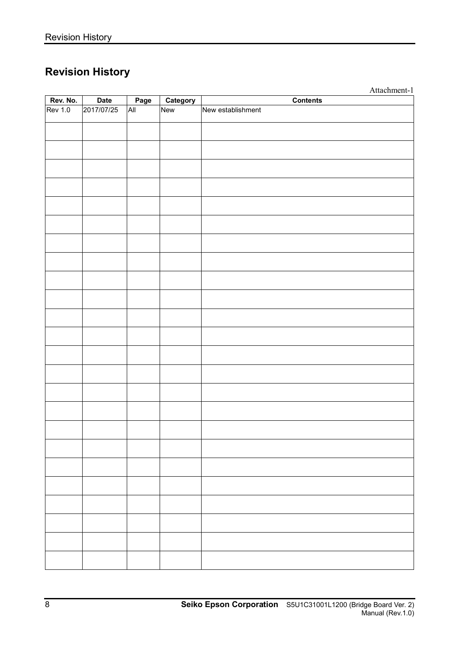# **Revision History**

|                |            |      |          | Attachment-1      |
|----------------|------------|------|----------|-------------------|
| Rev. No.       | Date       | Page | Category | <b>Contents</b>   |
| <b>Rev 1.0</b> | 2017/07/25 | All  | New      | New establishment |
|                |            |      |          |                   |
|                |            |      |          |                   |
|                |            |      |          |                   |
|                |            |      |          |                   |
|                |            |      |          |                   |
|                |            |      |          |                   |
|                |            |      |          |                   |
|                |            |      |          |                   |
|                |            |      |          |                   |
|                |            |      |          |                   |
|                |            |      |          |                   |
|                |            |      |          |                   |
|                |            |      |          |                   |
|                |            |      |          |                   |
|                |            |      |          |                   |
|                |            |      |          |                   |
|                |            |      |          |                   |
|                |            |      |          |                   |
|                |            |      |          |                   |
|                |            |      |          |                   |
|                |            |      |          |                   |
|                |            |      |          |                   |
|                |            |      |          |                   |
|                |            |      |          |                   |
|                |            |      |          |                   |
|                |            |      |          |                   |
|                |            |      |          |                   |
|                |            |      |          |                   |
|                |            |      |          |                   |
|                |            |      |          |                   |
|                |            |      |          |                   |
|                |            |      |          |                   |
|                |            |      |          |                   |
|                |            |      |          |                   |
|                |            |      |          |                   |
|                |            |      |          |                   |
|                |            |      |          |                   |
|                |            |      |          |                   |